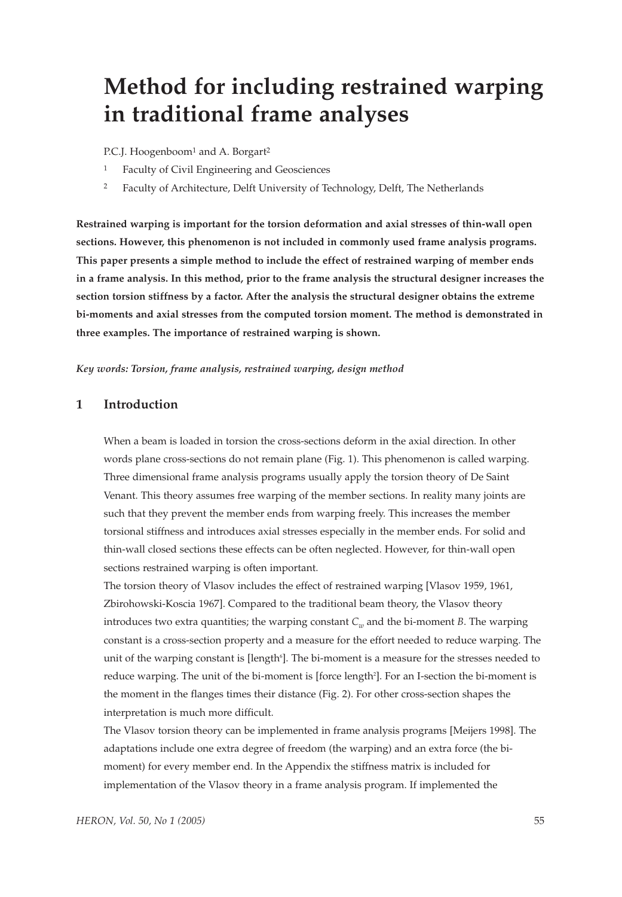# **Method for including restrained warping in traditional frame analyses**

P.C.J. Hoogenboom<sup>1</sup> and A. Borgart<sup>2</sup>

- <sup>1</sup> Faculty of Civil Engineering and Geosciences
- <sup>2</sup> Faculty of Architecture, Delft University of Technology, Delft, The Netherlands

**Restrained warping is important for the torsion deformation and axial stresses of thin-wall open sections. However, this phenomenon is not included in commonly used frame analysis programs. This paper presents a simple method to include the effect of restrained warping of member ends in a frame analysis. In this method, prior to the frame analysis the structural designer increases the section torsion stiffness by a factor. After the analysis the structural designer obtains the extreme bi-moments and axial stresses from the computed torsion moment. The method is demonstrated in three examples. The importance of restrained warping is shown.**

#### *Key words: Torsion, frame analysis, restrained warping, design method*

### **1 Introduction**

When a beam is loaded in torsion the cross-sections deform in the axial direction. In other words plane cross-sections do not remain plane (Fig. 1). This phenomenon is called warping. Three dimensional frame analysis programs usually apply the torsion theory of De Saint Venant. This theory assumes free warping of the member sections. In reality many joints are such that they prevent the member ends from warping freely. This increases the member torsional stiffness and introduces axial stresses especially in the member ends. For solid and thin-wall closed sections these effects can be often neglected. However, for thin-wall open sections restrained warping is often important.

The torsion theory of Vlasov includes the effect of restrained warping [Vlasov 1959, 1961, Zbirohowski-Koscia 1967]. Compared to the traditional beam theory, the Vlasov theory introduces two extra quantities; the warping constant  $C_w$  and the bi-moment *B*. The warping constant is a cross-section property and a measure for the effort needed to reduce warping. The unit of the warping constant is [length<sup>6</sup>]. The bi-moment is a measure for the stresses needed to reduce warping. The unit of the bi-moment is [force length<sup>2</sup>]. For an I-section the bi-moment is the moment in the flanges times their distance (Fig. 2). For other cross-section shapes the interpretation is much more difficult.

The Vlasov torsion theory can be implemented in frame analysis programs [Meijers 1998]. The adaptations include one extra degree of freedom (the warping) and an extra force (the bimoment) for every member end. In the Appendix the stiffness matrix is included for implementation of the Vlasov theory in a frame analysis program. If implemented the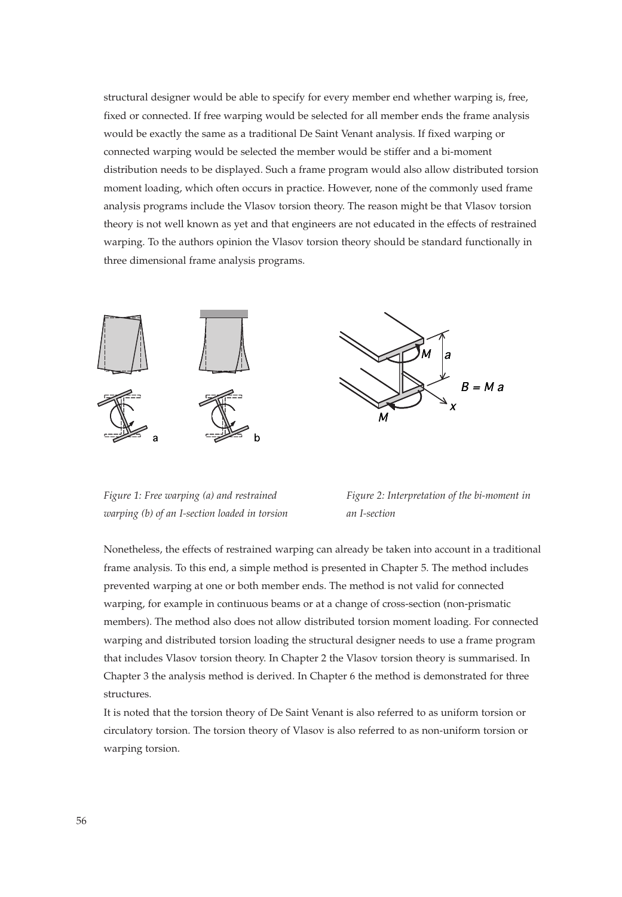structural designer would be able to specify for every member end whether warping is, free, fixed or connected. If free warping would be selected for all member ends the frame analysis would be exactly the same as a traditional De Saint Venant analysis. If fixed warping or connected warping would be selected the member would be stiffer and a bi-moment distribution needs to be displayed. Such a frame program would also allow distributed torsion moment loading, which often occurs in practice. However, none of the commonly used frame analysis programs include the Vlasov torsion theory. The reason might be that Vlasov torsion theory is not well known as yet and that engineers are not educated in the effects of restrained warping. To the authors opinion the Vlasov torsion theory should be standard functionally in three dimensional frame analysis programs.



*warping (b) of an I-section loaded in torsion an I-section*

*Figure 1: Free warping (a) and restrained Figure 2: Interpretation of the bi-moment in* 

x

 $B = Ma$ 

Nonetheless, the effects of restrained warping can already be taken into account in a traditional frame analysis. To this end, a simple method is presented in Chapter 5. The method includes prevented warping at one or both member ends. The method is not valid for connected warping, for example in continuous beams or at a change of cross-section (non-prismatic members). The method also does not allow distributed torsion moment loading. For connected warping and distributed torsion loading the structural designer needs to use a frame program that includes Vlasov torsion theory. In Chapter 2 the Vlasov torsion theory is summarised. In Chapter 3 the analysis method is derived. In Chapter 6 the method is demonstrated for three structures.

It is noted that the torsion theory of De Saint Venant is also referred to as uniform torsion or circulatory torsion. The torsion theory of Vlasov is also referred to as non-uniform torsion or warping torsion.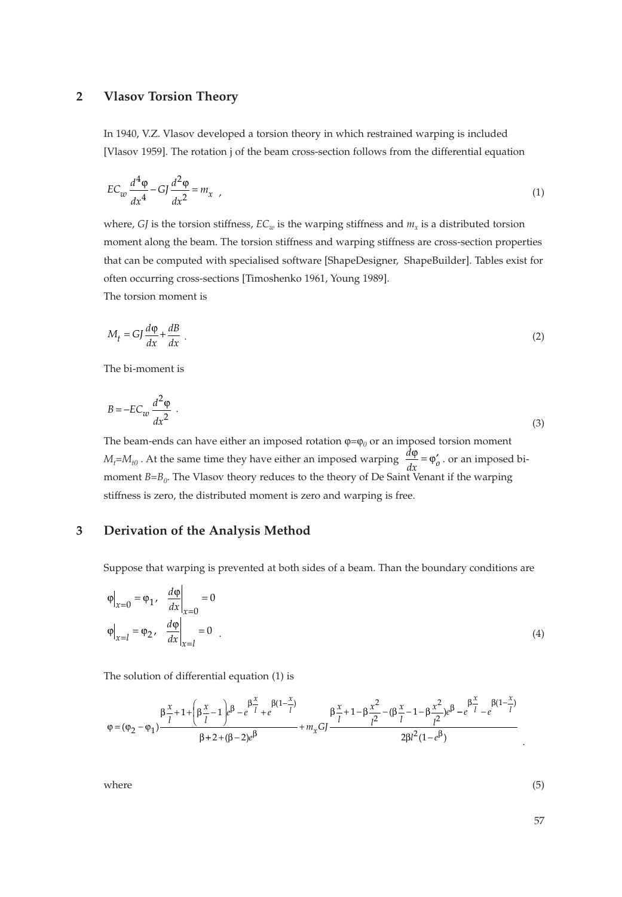# **2 Vlasov Torsion Theory**

In 1940, V.Z. Vlasov developed a torsion theory in which restrained warping is included [Vlasov 1959]. The rotation j of the beam cross-section follows from the differential equation

$$
EC_w \frac{d^4 \varphi}{dx^4} - GJ \frac{d^2 \varphi}{dx^2} = m_x \tag{1}
$$

where, *GJ* is the torsion stiffness,  $EC_w$  is the warping stiffness and  $m_x$  is a distributed torsion moment along the beam. The torsion stiffness and warping stiffness are cross-section properties that can be computed with specialised software [ShapeDesigner, ShapeBuilder]. Tables exist for often occurring cross-sections [Timoshenko 1961, Young 1989].

The torsion moment is

$$
M_t = G J \frac{d\varphi}{dx} + \frac{dB}{dx} \tag{2}
$$

The bi-moment is

$$
B = -EC_w \frac{d^2\varphi}{dx^2} \tag{3}
$$

The beam-ends can have either an imposed rotation ϕ=ϕ*<sup>0</sup>* or an imposed torsion moment  $M_t = M_{t0}$ . At the same time they have either an imposed warping  $\frac{d\varphi}{dx} = \varphi'_0$  or an imposed bimoment  $B=B_0$ . The Vlasov theory reduces to the theory of De Saint Venant if the warping stiffness is zero, the distributed moment is zero and warping is free.  $\frac{d\Phi}{dx} = \phi'_{o}$ 

# **3 Derivation of the Analysis Method**

Suppose that warping is prevented at both sides of a beam. Than the boundary conditions are

$$
\varphi\Big|_{x=0} = \varphi_1, \quad \frac{d\varphi}{dx}\Big|_{x=0} = 0
$$
\n
$$
\varphi\Big|_{x=l} = \varphi_2, \quad \frac{d\varphi}{dx}\Big|_{x=l} = 0
$$
\n(4)

The solution of differential equation (1) is

$$
\varphi = (\varphi_2 - \varphi_1) \frac{\beta \frac{x}{l} + 1 + \left(\beta \frac{x}{l} - 1\right) e^{\beta} - e^{\beta \frac{x}{l}} + e^{\beta (1 - \frac{x}{l})}}{\beta + 2 + (\beta - 2) e^{\beta}} + m_x G J \frac{\beta \frac{x}{l} + 1 - \beta \frac{x^2}{l^2} - (\beta \frac{x}{l} - 1 - \beta \frac{x^2}{l^2}) e^{\beta} - e^{\beta \frac{x}{l}} - e^{\beta (1 - \frac{x}{l})}}{2 \beta l^2 (1 - e^{\beta})}.
$$

where  $(5)$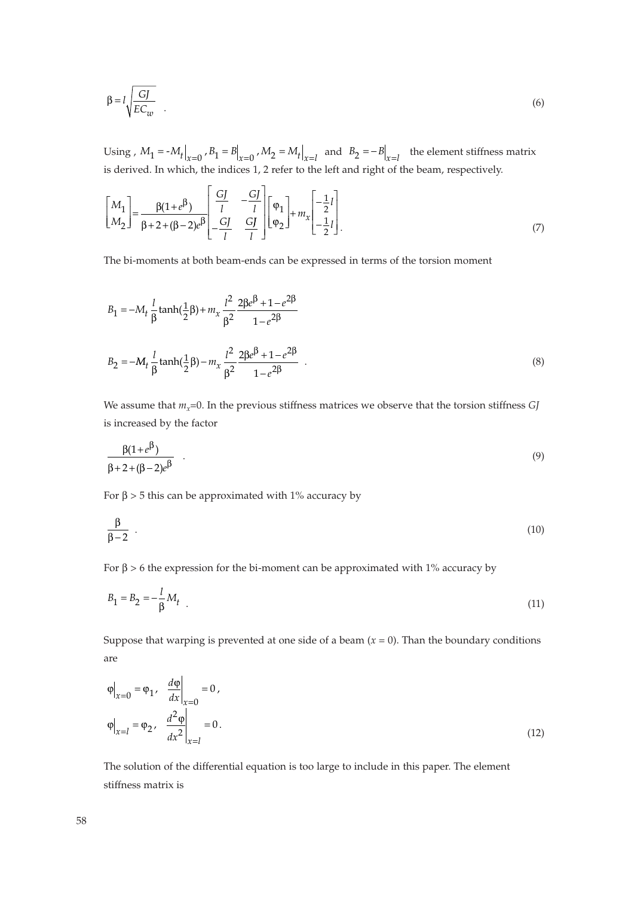$$
\beta = l \sqrt{\frac{GI}{EC_{w}}} \tag{6}
$$

Using ,  $M_1 = -M_t\big|_{x=0}$  ,  $B_1 = B\big|_{x=0}$  ,  $M_2 = M_t\big|_{x=l}$  and  $B_2 = -B\big|_{x=l}$  the element stiffness matrix is derived. In which, the indices 1, 2 refer to the left and right of the beam, respectively.

$$
\begin{bmatrix} M_1 \\ M_2 \end{bmatrix} = \frac{\beta(1+e^{\beta})}{\beta+2+(\beta-2)e^{\beta}} \begin{bmatrix} \frac{GI}{l} & -\frac{GI}{l} \\ -\frac{GI}{l} & \frac{GI}{l} \end{bmatrix} \begin{bmatrix} \varphi_1 \\ \varphi_2 \end{bmatrix} + m_x \begin{bmatrix} -\frac{1}{2}l \\ -\frac{1}{2}l \end{bmatrix}.
$$
 (7)

The bi-moments at both beam-ends can be expressed in terms of the torsion moment

$$
B_1 = -M_t \frac{l}{\beta} \tanh(\frac{1}{2}\beta) + m_x \frac{l^2}{\beta^2} \frac{2\beta e^{\beta} + 1 - e^{2\beta}}{1 - e^{2\beta}}
$$
  

$$
B_2 = -M_t \frac{l}{\beta} \tanh(\frac{1}{2}\beta) - m_x \frac{l^2}{\beta^2} \frac{2\beta e^{\beta} + 1 - e^{2\beta}}{1 - e^{2\beta}}.
$$
 (8)

We assume that  $m_x=0$ . In the previous stiffness matrices we observe that the torsion stiffness *G*J is increased by the factor

$$
\frac{\beta(1+e^{\beta})}{\beta+2+(\beta-2)e^{\beta}} \quad . \tag{9}
$$

For β > 5 this can be approximated with 1% accuracy by

$$
\frac{\beta}{\beta - 2} \tag{10}
$$

For β > 6 the expression for the bi-moment can be approximated with 1% accuracy by

$$
B_1 = B_2 = -\frac{l}{\beta} M_t \tag{11}
$$

Suppose that warping is prevented at one side of a beam  $(x = 0)$ . Than the boundary conditions are

$$
\varphi\Big|_{x=0} = \varphi_1, \quad \frac{d\varphi}{dx}\Big|_{x=0} = 0,
$$
\n
$$
\varphi\Big|_{x=l} = \varphi_2, \quad \frac{d^2\varphi}{dx^2}\Big|_{x=l} = 0.
$$
\n(12)

The solution of the differential equation is too large to include in this paper. The element stiffness matrix is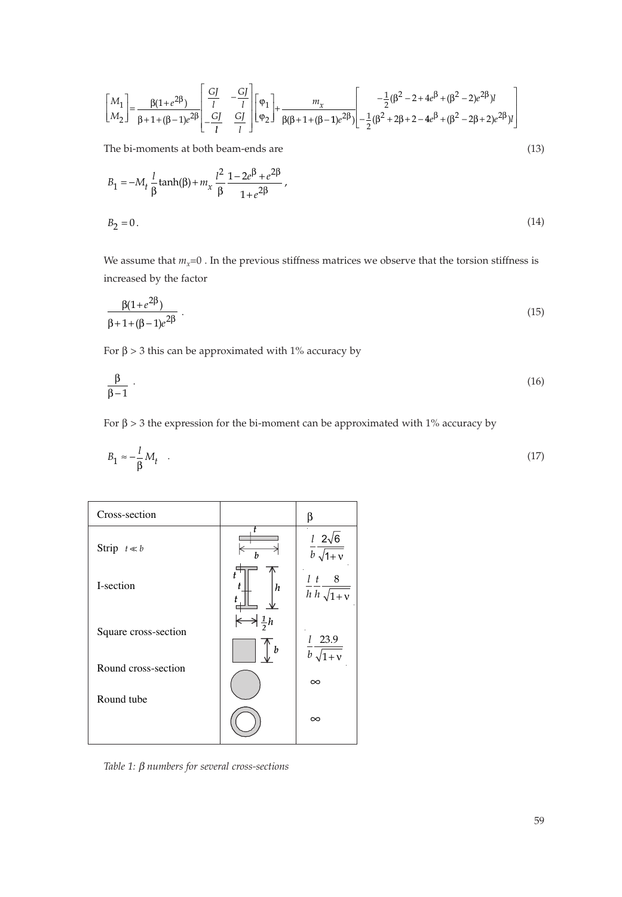$$
\begin{bmatrix} M_1 \\ M_2 \end{bmatrix} = \frac{\beta(1+e^{2\beta})}{\beta+1+(\beta-1)e^{2\beta}} \begin{bmatrix} \frac{GI}{l} & -\frac{GI}{l} \\ -\frac{GI}{l} & \frac{GI}{l} \end{bmatrix} \begin{bmatrix} \varphi_1 \\ \varphi_2 \end{bmatrix} + \frac{m_x}{\beta(\beta+1+(\beta-1)e^{2\beta})} \begin{bmatrix} -\frac{1}{2}(\beta^2 - 2 + 4e^{\beta} + (\beta^2 - 2)e^{2\beta})l \\ -\frac{1}{2}(\beta^2 + 2\beta + 2 - 4e^{\beta} + (\beta^2 - 2\beta + 2)e^{2\beta})l \end{bmatrix}
$$

The bi-moments at both beam-ends are (13)

$$
B_1 = -M_t \frac{l}{\beta} \tanh(\beta) + m_x \frac{l^2}{\beta} \frac{1 - 2e^{\beta} + e^{2\beta}}{1 + e^{2\beta}},
$$
  

$$
B_2 = 0.
$$
 (14)

We assume that  $m_x=0$ . In the previous stiffness matrices we observe that the torsion stiffness is increased by the factor

$$
\frac{\beta(1+e^{2\beta})}{\beta+1+(\beta-1)e^{2\beta}}\tag{15}
$$

For β > 3 this can be approximated with 1% accuracy by

$$
\frac{\beta}{\beta - 1} \tag{16}
$$

For β > 3 the expression for the bi-moment can be approximated with 1% accuracy by

$$
B_1 \approx -\frac{l}{\beta} M_t \quad . \tag{17}
$$

| Cross-section        |                     | β                                                           |
|----------------------|---------------------|-------------------------------------------------------------|
| Strip $t \ll b$      | h                   | $1\,2\sqrt{6}$<br>$^{b}$ .                                  |
| I-section            | h                   | l t<br>8<br>$\overline{h}\overline{h}\overline{\sqrt{1+v}}$ |
| Square cross-section | $\frac{1}{2}h$<br>b | 23.9<br>$\overline{b}$ $\overline{\sqrt{1+v}}$              |
| Round cross-section  |                     |                                                             |
| Round tube           |                     | $\infty$                                                    |
|                      |                     | $\infty$                                                    |

*Table 1:* β *numbers for several cross-sections*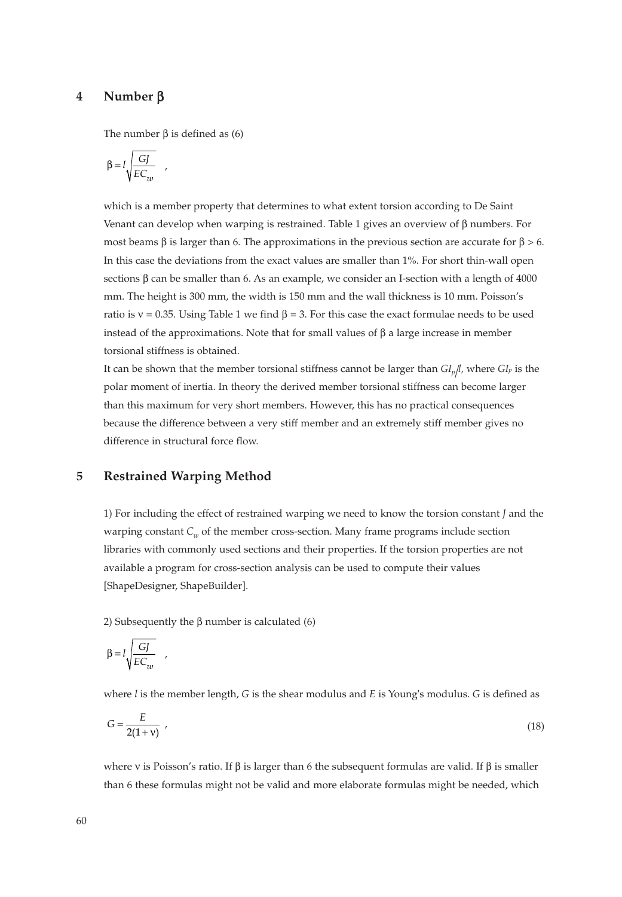# **4 Number** β

The number  $β$  is defined as  $(6)$ 

,

$$
\beta = l \sqrt{\frac{GJ}{EC_w}}
$$

which is a member property that determines to what extent torsion according to De Saint Venant can develop when warping is restrained. Table 1 gives an overview of β numbers. For most beams β is larger than 6. The approximations in the previous section are accurate for  $β > 6$ . In this case the deviations from the exact values are smaller than 1%. For short thin-wall open sections  $\beta$  can be smaller than 6. As an example, we consider an I-section with a length of 4000 mm. The height is 300 mm, the width is 150 mm and the wall thickness is 10 mm. Poisson's ratio is  $ν = 0.35$ . Using Table 1 we find  $β = 3$ . For this case the exact formulae needs to be used instead of the approximations. Note that for small values of β a large increase in member torsional stiffness is obtained.

It can be shown that the member torsional stiffness cannot be larger than *GI<sub>p</sub>/l*, where *GI<sub>p</sub>* is the polar moment of inertia. In theory the derived member torsional stiffness can become larger than this maximum for very short members. However, this has no practical consequences because the difference between a very stiff member and an extremely stiff member gives no difference in structural force flow.

# **5 Restrained Warping Method**

1) For including the effect of restrained warping we need to know the torsion constant *J* and the warping constant *C<sub>w</sub>* of the member cross-section. Many frame programs include section libraries with commonly used sections and their properties. If the torsion properties are not available a program for cross-section analysis can be used to compute their values [ShapeDesigner, ShapeBuilder].

2) Subsequently the  $β$  number is calculated (6)

$$
\beta = l \sqrt{\frac{GJ}{EC_w}}
$$

,

where *l* is the member length, *G* is the shear modulus and *E* is Young's modulus. *G* is defined as

$$
G = \frac{E}{2(1+v)}
$$
\n<sup>(18)</sup>

where ν is Poisson's ratio. If β is larger than 6 the subsequent formulas are valid. If β is smaller than 6 these formulas might not be valid and more elaborate formulas might be needed, which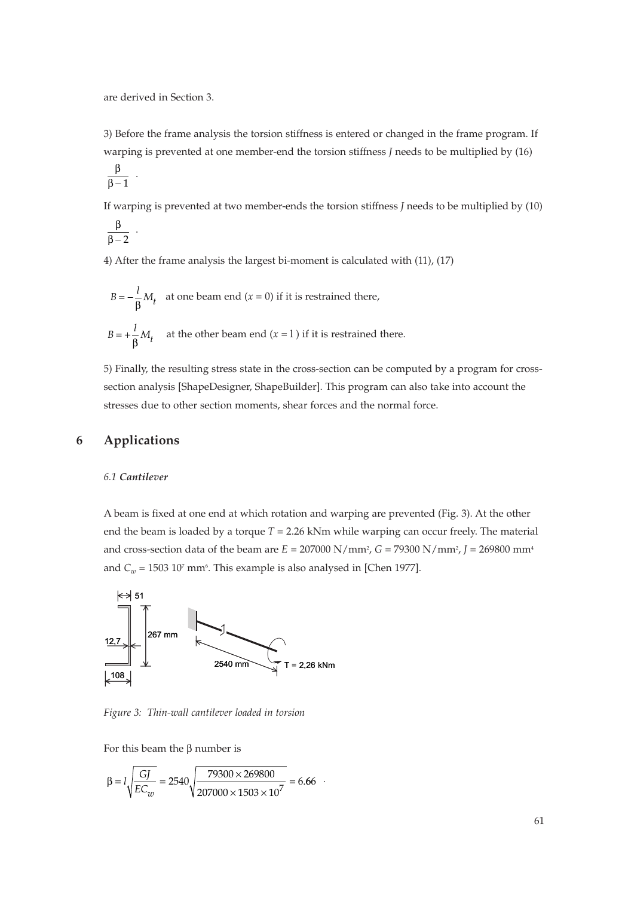are derived in Section 3.

3) Before the frame analysis the torsion stiffness is entered or changed in the frame program. If warping is prevented at one member-end the torsion stiffness *J* needs to be multiplied by (16)

$$
\frac{\beta}{\beta-1}
$$

.

If warping is prevented at two member-ends the torsion stiffness *J* needs to be multiplied by (10)

$$
\frac{\beta}{\beta-2} \; \cdot \;
$$

4) After the frame analysis the largest bi-moment is calculated with (11), (17)

$$
B = -\frac{l}{\beta} M_t
$$
 at one beam end (*x* = 0) if it is restrained there,

$$
B = +\frac{1}{\beta}M_t
$$
 at the other beam end (*x* = 1) if it is restricted there.

5) Finally, the resulting stress state in the cross-section can be computed by a program for crosssection analysis [ShapeDesigner, ShapeBuilder]. This program can also take into account the stresses due to other section moments, shear forces and the normal force.

# **6 Applications**

#### *6.1 Cantilever*

A beam is fixed at one end at which rotation and warping are prevented (Fig. 3). At the other end the beam is loaded by a torque  $T = 2.26$  kNm while warping can occur freely. The material and cross-section data of the beam are *E* = 207000 N/mm2 , *G* = 79300 N/mm2 , *J* = 269800 mm4 and  $C_w$  = 1503 10<sup>7</sup> mm<sup>6</sup>. This example is also analysed in [Chen 1977].



*Figure 3: Thin-wall cantilever loaded in torsion*

For this beam the β number is

$$
\beta = l \sqrt{\frac{GI}{EC_{w}}} = 2540 \sqrt{\frac{79300 \times 269800}{207000 \times 1503 \times 10^7}} = 6.66.
$$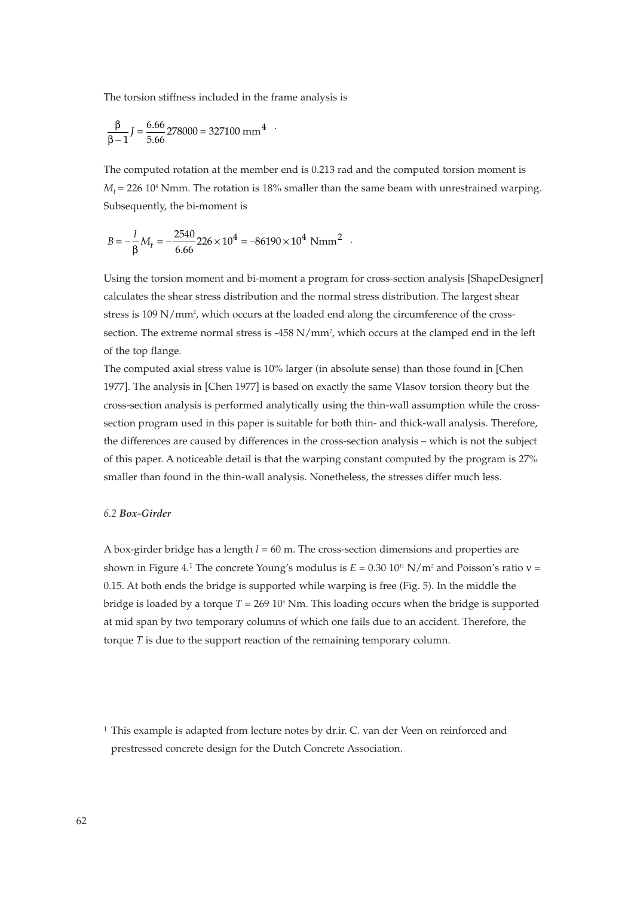The torsion stiffness included in the frame analysis is

.

$$
\frac{\beta}{\beta - 1} J = \frac{6.66}{5.66} 278000 = 327100
$$
mm<sup>4</sup>

The computed rotation at the member end is 0.213 rad and the computed torsion moment is  $M_t$  = 226 10<sup>4</sup> Nmm. The rotation is 18% smaller than the same beam with unrestrained warping. Subsequently, the bi-moment is

$$
B = -\frac{l}{\beta} M_t = -\frac{2540}{6.66} 226 \times 10^4 = -86190 \times 10^4 \text{ Nmm}^2.
$$

Using the torsion moment and bi-moment a program for cross-section analysis [ShapeDesigner] calculates the shear stress distribution and the normal stress distribution. The largest shear stress is 109 N/mm<sup>2</sup>, which occurs at the loaded end along the circumference of the crosssection. The extreme normal stress is -458 N/mm2 , which occurs at the clamped end in the left of the top flange.

The computed axial stress value is 10% larger (in absolute sense) than those found in [Chen 1977]. The analysis in [Chen 1977] is based on exactly the same Vlasov torsion theory but the cross-section analysis is performed analytically using the thin-wall assumption while the crosssection program used in this paper is suitable for both thin- and thick-wall analysis. Therefore, the differences are caused by differences in the cross-section analysis – which is not the subject of this paper. A noticeable detail is that the warping constant computed by the program is 27% smaller than found in the thin-wall analysis. Nonetheless, the stresses differ much less.

#### *6.2 Box-Girder*

A box-girder bridge has a length *l* = 60 m. The cross-section dimensions and properties are shown in Figure 4.<sup>1</sup> The concrete Young's modulus is  $E = 0.30 \, 10^{11} \, \text{N/m}^2$  and Poisson's ratio  $v =$ 0.15. At both ends the bridge is supported while warping is free (Fig. 5). In the middle the bridge is loaded by a torque  $T = 269 10^5$  Nm. This loading occurs when the bridge is supported at mid span by two temporary columns of which one fails due to an accident. Therefore, the torque *T* is due to the support reaction of the remaining temporary column.

<sup>1</sup> This example is adapted from lecture notes by dr.ir. C. van der Veen on reinforced and prestressed concrete design for the Dutch Concrete Association.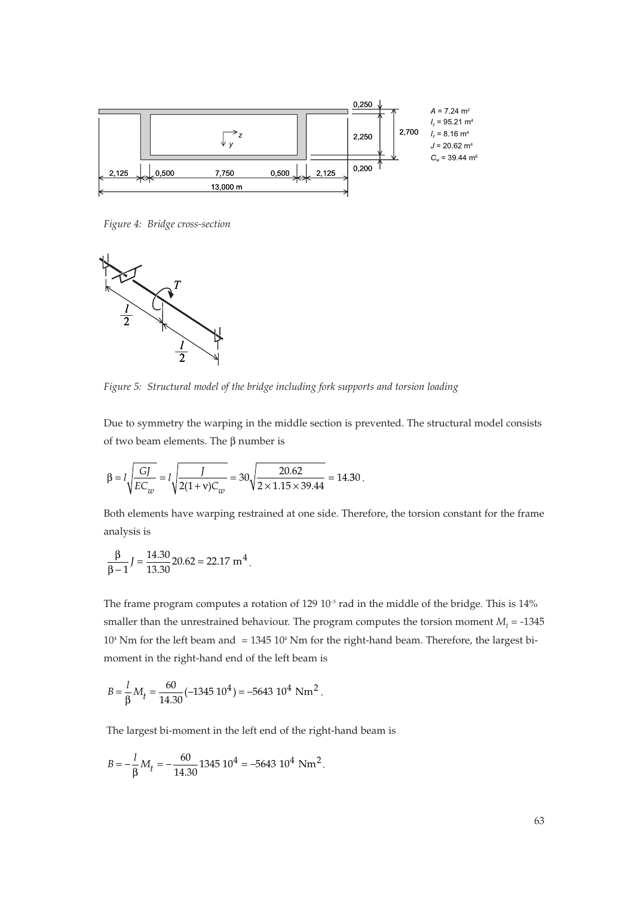

*Figure 4: Bridge cross-section*



*Figure 5: Structural model of the bridge including fork supports and torsion loading*

Due to symmetry the warping in the middle section is prevented. The structural model consists of two beam elements. The β number is

$$
\beta = l \sqrt{\frac{GJ}{EC_{w}}} = l \sqrt{\frac{J}{2(1 + v)C_{w}}} = 30 \sqrt{\frac{20.62}{2 \times 1.15 \times 39.44}} = 14.30.
$$

Both elements have warping restrained at one side. Therefore, the torsion constant for the frame analysis is

$$
\frac{\beta}{\beta - 1} J = \frac{14.30}{13.30} 20.62 = 22.17 \text{ m}^4.
$$

The frame program computes a rotation of  $129\,10^{-5}$  rad in the middle of the bridge. This is  $14\%$ smaller than the unrestrained behaviour. The program computes the torsion moment  $M_t$  = -1345  $10<sup>4</sup>$  Nm for the left beam and = 1345 10<sup> $4$ </sup> Nm for the right-hand beam. Therefore, the largest bimoment in the right-hand end of the left beam is

$$
B = \frac{l}{\beta} M_t = \frac{60}{14.30} (-1345 \, 10^4) = -5643 \, 10^4 \, \text{Nm}^2 \,.
$$

The largest bi-moment in the left end of the right-hand beam is

$$
B = -\frac{l}{\beta} M_t = -\frac{60}{14.30} 1345 10^4 = -5643 10^4 Nm^2.
$$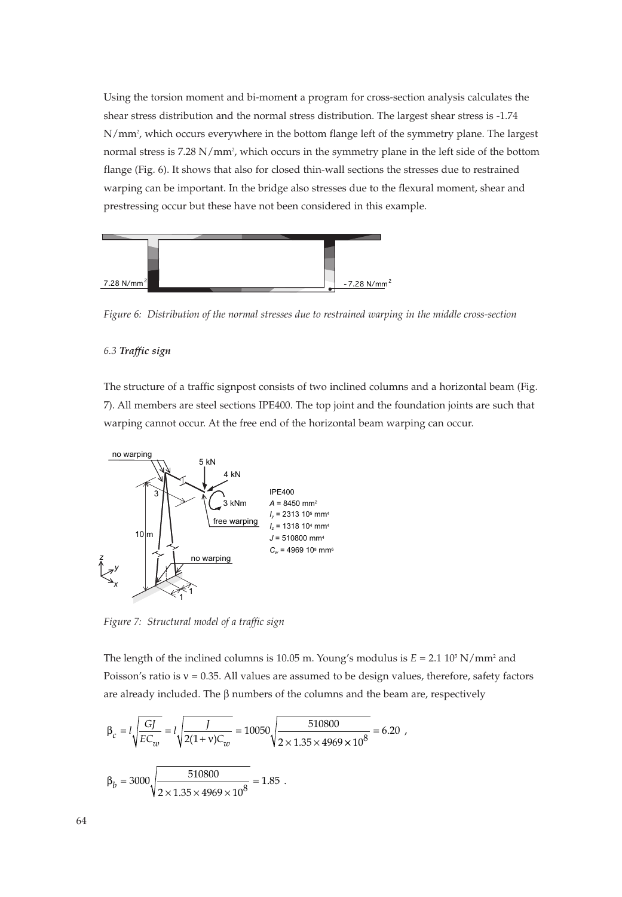Using the torsion moment and bi-moment a program for cross-section analysis calculates the shear stress distribution and the normal stress distribution. The largest shear stress is -1.74 N/mm2 , which occurs everywhere in the bottom flange left of the symmetry plane. The largest normal stress is 7.28 N/mm<sup>2</sup>, which occurs in the symmetry plane in the left side of the bottom flange (Fig. 6). It shows that also for closed thin-wall sections the stresses due to restrained warping can be important. In the bridge also stresses due to the flexural moment, shear and prestressing occur but these have not been considered in this example.



*Figure 6: Distribution of the normal stresses due to restrained warping in the middle cross-section*

#### *6.3 Traffic sign*

The structure of a traffic signpost consists of two inclined columns and a horizontal beam (Fig. 7). All members are steel sections IPE400. The top joint and the foundation joints are such that warping cannot occur. At the free end of the horizontal beam warping can occur.



*Figure 7: Structural model of a traffic sign*

The length of the inclined columns is 10.05 m. Young's modulus is  $E = 2.1 10<sup>5</sup> N/mm<sup>2</sup>$  and Poisson's ratio is  $v = 0.35$ . All values are assumed to be design values, therefore, safety factors are already included. The β numbers of the columns and the beam are, respectively

$$
\beta_c = l \sqrt{\frac{GI}{EC_w}} = l \sqrt{\frac{J}{2(1+\nu)C_w}} = 10050 \sqrt{\frac{510800}{2 \times 1.35 \times 4969 \times 10^8}} = 6.20 ,
$$
  

$$
\beta_b = 3000 \sqrt{\frac{510800}{2 \times 1.35 \times 4969 \times 10^8}} = 1.85 .
$$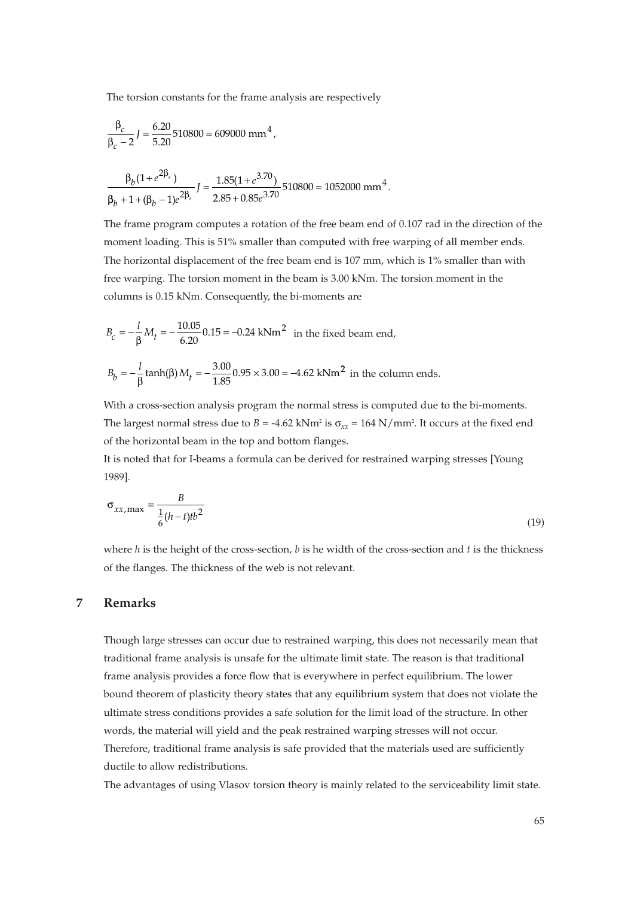The torsion constants for the frame analysis are respectively

$$
\frac{\beta_c}{\beta_c - 2} J = \frac{6.20}{5.20} 510800 = 609000 \text{ mm}^4,
$$

$$
\frac{\beta_b (1 + e^{2\beta_b})}{\beta_b + 1 + (\beta_b - 1)e^{2\beta_b}} J = \frac{1.85(1 + e^{3.70})}{2.85 + 0.85e^{3.70}} 510800 = 1052000 \text{ mm}^4.
$$

The frame program computes a rotation of the free beam end of 0.107 rad in the direction of the moment loading. This is 51% smaller than computed with free warping of all member ends. The horizontal displacement of the free beam end is 107 mm, which is 1% smaller than with free warping. The torsion moment in the beam is 3.00 kNm. The torsion moment in the columns is 0.15 kNm. Consequently, the bi-moments are

$$
B_c = -\frac{l}{\beta} M_t = -\frac{10.05}{6.20} 0.15 = -0.24 \text{ kNm}^2 \text{ in the fixed beam end,}
$$
  

$$
B_b = -\frac{l}{\beta} \tanh(\beta) M_t = -\frac{3.00}{1.85} 0.95 \times 3.00 = -4.62 \text{ kNm}^2 \text{ in the column ends.}
$$

With a cross-section analysis program the normal stress is computed due to the bi-moments. The largest normal stress due to *B* = -4.62 kNm<sup>2</sup> is  $\sigma_{xx}$  = 164 N/mm<sup>2</sup>. It occurs at the fixed end of the horizontal beam in the top and bottom flanges.

It is noted that for I-beams a formula can be derived for restrained warping stresses [Young 1989].

$$
\sigma_{xx,\text{max}} = \frac{B}{\frac{1}{6}(h-t)tb^2}
$$
\n(19)

where *h* is the height of the cross-section, *b* is he width of the cross-section and *t* is the thickness of the flanges. The thickness of the web is not relevant.

# **7 Remarks**

Though large stresses can occur due to restrained warping, this does not necessarily mean that traditional frame analysis is unsafe for the ultimate limit state. The reason is that traditional frame analysis provides a force flow that is everywhere in perfect equilibrium. The lower bound theorem of plasticity theory states that any equilibrium system that does not violate the ultimate stress conditions provides a safe solution for the limit load of the structure. In other words, the material will yield and the peak restrained warping stresses will not occur. Therefore, traditional frame analysis is safe provided that the materials used are sufficiently ductile to allow redistributions.

The advantages of using Vlasov torsion theory is mainly related to the serviceability limit state.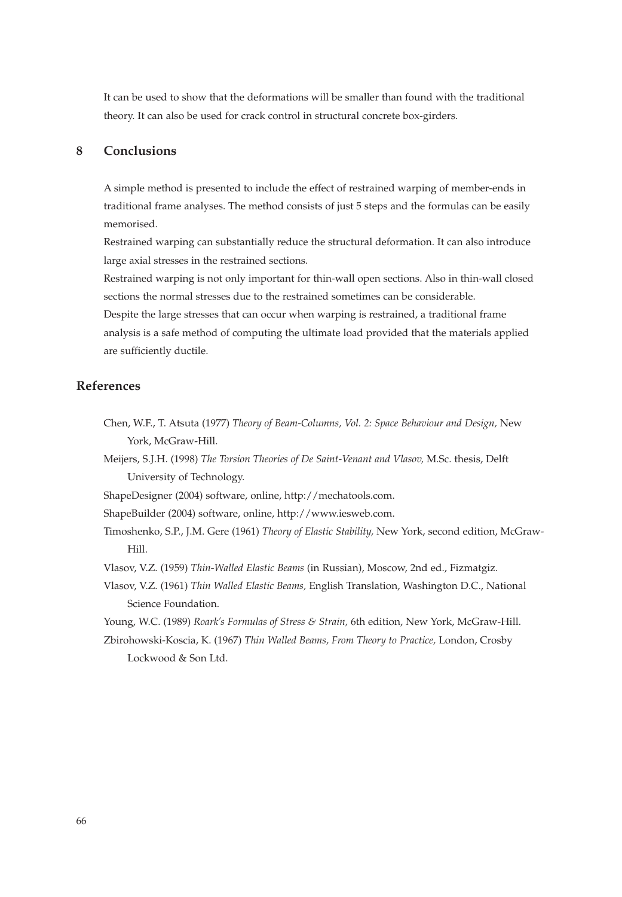It can be used to show that the deformations will be smaller than found with the traditional theory. It can also be used for crack control in structural concrete box-girders.

# **8 Conclusions**

A simple method is presented to include the effect of restrained warping of member-ends in traditional frame analyses. The method consists of just 5 steps and the formulas can be easily memorised.

Restrained warping can substantially reduce the structural deformation. It can also introduce large axial stresses in the restrained sections.

Restrained warping is not only important for thin-wall open sections. Also in thin-wall closed sections the normal stresses due to the restrained sometimes can be considerable. Despite the large stresses that can occur when warping is restrained, a traditional frame analysis is a safe method of computing the ultimate load provided that the materials applied

### **References**

are sufficiently ductile.

- Chen, W.F., T. Atsuta (1977) *Theory of Beam-Columns, Vol. 2: Space Behaviour and Design,* New York, McGraw-Hill.
- Meijers, S.J.H. (1998) *The Torsion Theories of De Saint-Venant and Vlasov,* M.Sc. thesis, Delft University of Technology.

ShapeDesigner (2004) software, online, http://mechatools.com.

ShapeBuilder (2004) software, online, http://www.iesweb.com.

Timoshenko, S.P., J.M. Gere (1961) *Theory of Elastic Stability,* New York, second edition, McGraw-Hill.

Vlasov, V.Z. (1959) *Thin-Walled Elastic Beams* (in Russian), Moscow, 2nd ed., Fizmatgiz.

Vlasov, V.Z. (1961) *Thin Walled Elastic Beams,* English Translation, Washington D.C., National Science Foundation.

Young, W.C. (1989) *Roark's Formulas of Stress & Strain,* 6th edition, New York, McGraw-Hill.

Zbirohowski-Koscia, K. (1967) *Thin Walled Beams, From Theory to Practice,* London, Crosby Lockwood & Son Ltd.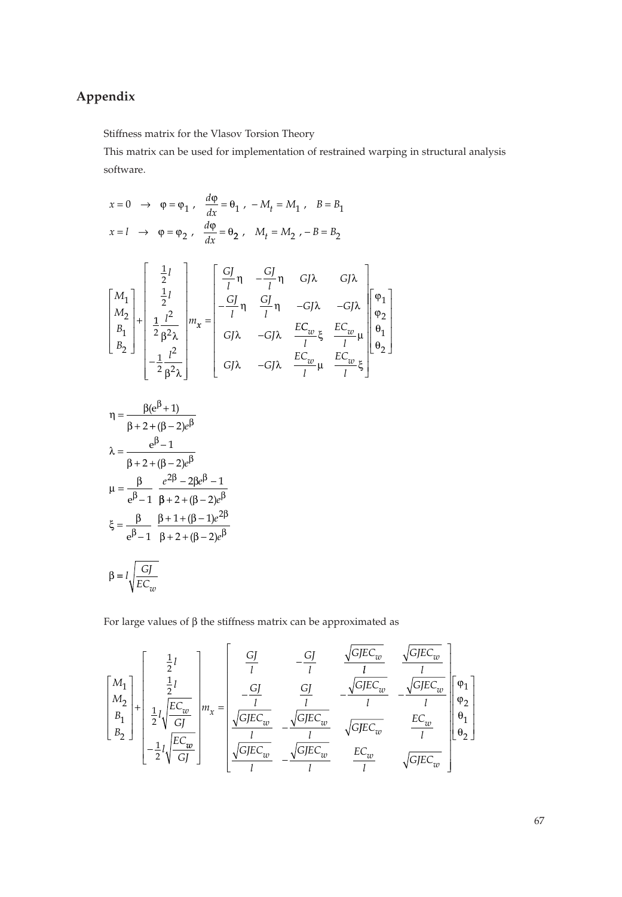# **Appendix**

Stiffness matrix for the Vlasov Torsion Theory

This matrix can be used for implementation of restrained warping in structural analysis software.

$$
x = 0 \rightarrow \varphi = \varphi_1 , \frac{d\varphi}{dx} = \theta_1 , -M_t = M_1 , B = B_1
$$
  

$$
x = l \rightarrow \varphi = \varphi_2 , \frac{d\varphi}{dx} = \theta_2 , M_t = M_2 , -B = B_2
$$

$$
\begin{bmatrix} M_1 \\ M_2 \\ B_1 \\ B_2 \end{bmatrix} + \begin{bmatrix} \frac{1}{2}l \\ \frac{1}{2}l \\ \frac{1}{2}\frac{l^2}{\beta^2\lambda} \\ -\frac{1}{2}\frac{l^2}{\beta^2\lambda} \end{bmatrix} m_x = \begin{bmatrix} \frac{GI}{l} \eta & -\frac{GI}{l} \eta & GJ\lambda & GJ\lambda \\ -\frac{GI}{l} \eta & \frac{GI}{l} \eta & -GJ\lambda & -GJ\lambda \\ GJ\lambda & -GJ\lambda & \frac{EC_w}{l}\xi & \frac{EC_w}{l}\mu \\ GJ\lambda & -GJ\lambda & \frac{EC_w}{l}\mu & \frac{EC_w}{l}\xi \end{bmatrix} \begin{bmatrix} \varphi_1 \\ \varphi_2 \\ \varphi_2 \\ \varphi_2 \end{bmatrix}
$$

$$
\eta = \frac{\beta (e^{\beta} + 1)}{\beta + 2 + (\beta - 2)e^{\beta}}
$$
\n
$$
\lambda = \frac{e^{\beta} - 1}{\beta + 2 + (\beta - 2)e^{\beta}}
$$
\n
$$
\mu = \frac{\beta}{e^{\beta} - 1} \frac{e^{2\beta} - 2\beta e^{\beta} - 1}{\beta + 2 + (\beta - 2)e^{\beta}}
$$
\n
$$
\xi = \frac{\beta}{e^{\beta} - 1} \frac{\beta + 1 + (\beta - 1)e^{2\beta}}{\beta + 2 + (\beta - 2)e^{\beta}}
$$
\n
$$
\beta = l \sqrt{\frac{GJ}{EC_{\nu}}}
$$

For large values of  $\upbeta$  the stiffness matrix can be approximated as

$$
\begin{bmatrix} M_1 \\ M_2 \\ B_1 \\ B_2 \end{bmatrix} + \begin{bmatrix} \frac{1}{2}l \\ \frac{1}{2}l \\ \frac{1}{2}l\sqrt{\frac{EC_w}{GI}} \\ B_2 \end{bmatrix} m_x = \begin{bmatrix} \frac{GI}{l} & -\frac{GI}{l} & \frac{\sqrt{GJEC_w}}{l} & \frac{\sqrt{GJEC_w}}{l} \\ -\frac{GI}{l} & \frac{GI}{l} & -\frac{\sqrt{GJEC_w}}{l} & -\frac{\sqrt{GJEC_w}}{l} \\ \frac{\sqrt{GJEC_w}}{l} & -\frac{\sqrt{GJEC_w}}{l} & \frac{IC}{\sqrt{GJEC_w}} & \frac{EC_w}{l} \\ \frac{\sqrt{GJEC_w}}{l} & -\frac{\sqrt{GJEC_w}}{l} & \frac{EC_w}{l} & \frac{EC_w}{l} \end{bmatrix} \begin{bmatrix} \varphi_1 \\ \varphi_2 \\ \varphi_2 \\ \varphi_3 \end{bmatrix}
$$